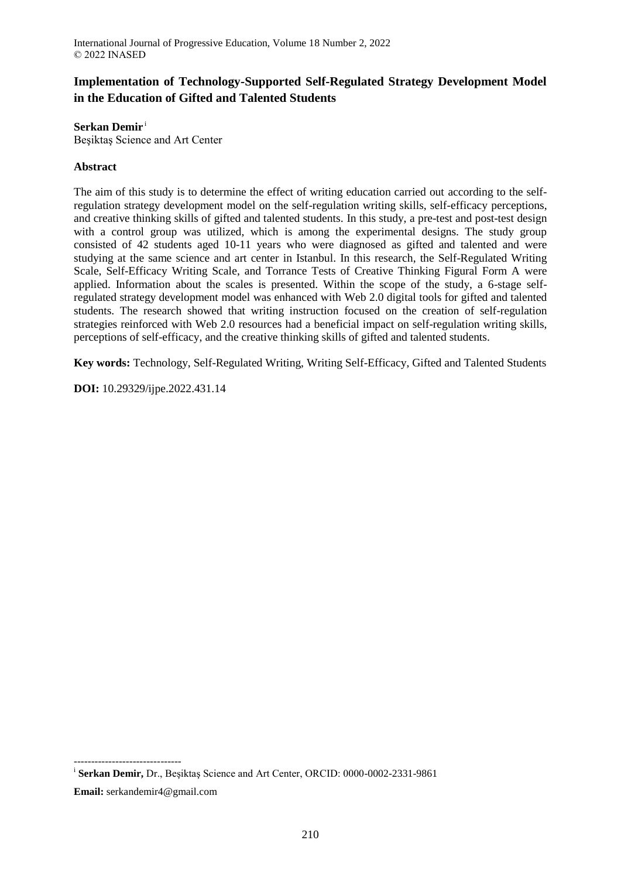# **Implementation of Technology-Supported Self-Regulated Strategy Development Model in the Education of Gifted and Talented Students**

**Serkan Demir** <sup>i</sup>

Beşiktaş Science and Art Center

## **Abstract**

The aim of this study is to determine the effect of writing education carried out according to the selfregulation strategy development model on the self-regulation writing skills, self-efficacy perceptions, and creative thinking skills of gifted and talented students. In this study, a pre-test and post-test design with a control group was utilized, which is among the experimental designs. The study group consisted of 42 students aged 10-11 years who were diagnosed as gifted and talented and were studying at the same science and art center in Istanbul. In this research, the Self-Regulated Writing Scale, Self-Efficacy Writing Scale, and Torrance Tests of Creative Thinking Figural Form A were applied. Information about the scales is presented. Within the scope of the study, a 6-stage selfregulated strategy development model was enhanced with Web 2.0 digital tools for gifted and talented students. The research showed that writing instruction focused on the creation of self-regulation strategies reinforced with Web 2.0 resources had a beneficial impact on self-regulation writing skills, perceptions of self-efficacy, and the creative thinking skills of gifted and talented students.

**Key words:** Technology, Self-Regulated Writing, Writing Self-Efficacy, Gifted and Talented Students

**DOI:** 10.29329/ijpe.2022.431.14

------------------------------ i **Serkan Demir,** Dr., Beşiktaş Science and Art Center, ORCID: 0000-0002-2331-9861

**Email:** serkandemir4@gmail.com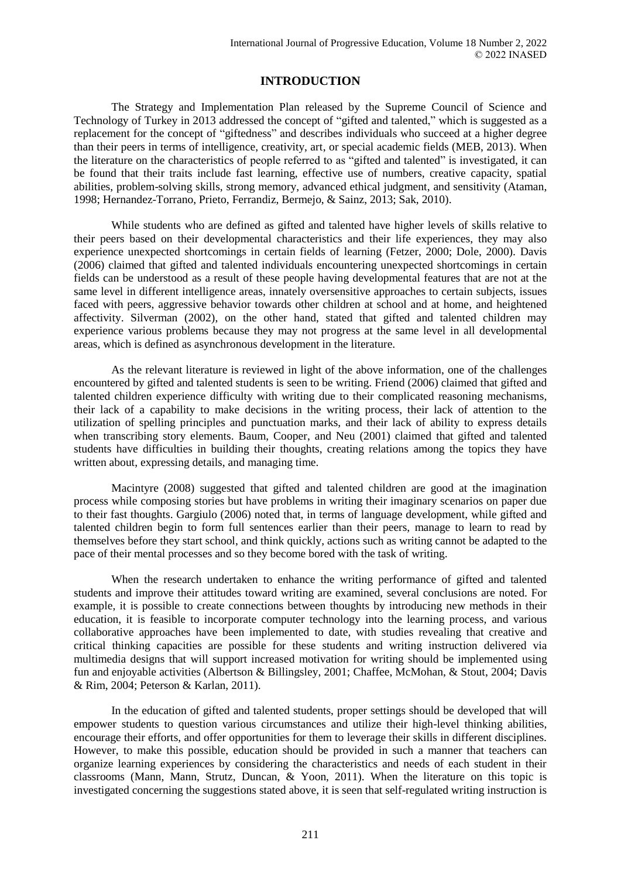# **INTRODUCTION**

The Strategy and Implementation Plan released by the Supreme Council of Science and Technology of Turkey in 2013 addressed the concept of "gifted and talented," which is suggested as a replacement for the concept of "giftedness" and describes individuals who succeed at a higher degree than their peers in terms of intelligence, creativity, art, or special academic fields (MEB, 2013). When the literature on the characteristics of people referred to as "gifted and talented" is investigated, it can be found that their traits include fast learning, effective use of numbers, creative capacity, spatial abilities, problem-solving skills, strong memory, advanced ethical judgment, and sensitivity (Ataman, 1998; Hernandez-Torrano, Prieto, Ferrandiz, Bermejo, & Sainz, 2013; Sak, 2010).

While students who are defined as gifted and talented have higher levels of skills relative to their peers based on their developmental characteristics and their life experiences, they may also experience unexpected shortcomings in certain fields of learning (Fetzer, 2000; Dole, 2000). Davis (2006) claimed that gifted and talented individuals encountering unexpected shortcomings in certain fields can be understood as a result of these people having developmental features that are not at the same level in different intelligence areas, innately oversensitive approaches to certain subjects, issues faced with peers, aggressive behavior towards other children at school and at home, and heightened affectivity. Silverman (2002), on the other hand, stated that gifted and talented children may experience various problems because they may not progress at the same level in all developmental areas, which is defined as asynchronous development in the literature.

As the relevant literature is reviewed in light of the above information, one of the challenges encountered by gifted and talented students is seen to be writing. Friend (2006) claimed that gifted and talented children experience difficulty with writing due to their complicated reasoning mechanisms, their lack of a capability to make decisions in the writing process, their lack of attention to the utilization of spelling principles and punctuation marks, and their lack of ability to express details when transcribing story elements. Baum, Cooper, and Neu (2001) claimed that gifted and talented students have difficulties in building their thoughts, creating relations among the topics they have written about, expressing details, and managing time.

Macintyre (2008) suggested that gifted and talented children are good at the imagination process while composing stories but have problems in writing their imaginary scenarios on paper due to their fast thoughts. Gargiulo (2006) noted that, in terms of language development, while gifted and talented children begin to form full sentences earlier than their peers, manage to learn to read by themselves before they start school, and think quickly, actions such as writing cannot be adapted to the pace of their mental processes and so they become bored with the task of writing.

When the research undertaken to enhance the writing performance of gifted and talented students and improve their attitudes toward writing are examined, several conclusions are noted. For example, it is possible to create connections between thoughts by introducing new methods in their education, it is feasible to incorporate computer technology into the learning process, and various collaborative approaches have been implemented to date, with studies revealing that creative and critical thinking capacities are possible for these students and writing instruction delivered via multimedia designs that will support increased motivation for writing should be implemented using fun and enjoyable activities (Albertson & Billingsley, 2001; Chaffee, McMohan, & Stout, 2004; Davis & Rim, 2004; Peterson & Karlan, 2011).

In the education of gifted and talented students, proper settings should be developed that will empower students to question various circumstances and utilize their high-level thinking abilities, encourage their efforts, and offer opportunities for them to leverage their skills in different disciplines. However, to make this possible, education should be provided in such a manner that teachers can organize learning experiences by considering the characteristics and needs of each student in their classrooms (Mann, Mann, Strutz, Duncan, & Yoon, 2011). When the literature on this topic is investigated concerning the suggestions stated above, it is seen that self-regulated writing instruction is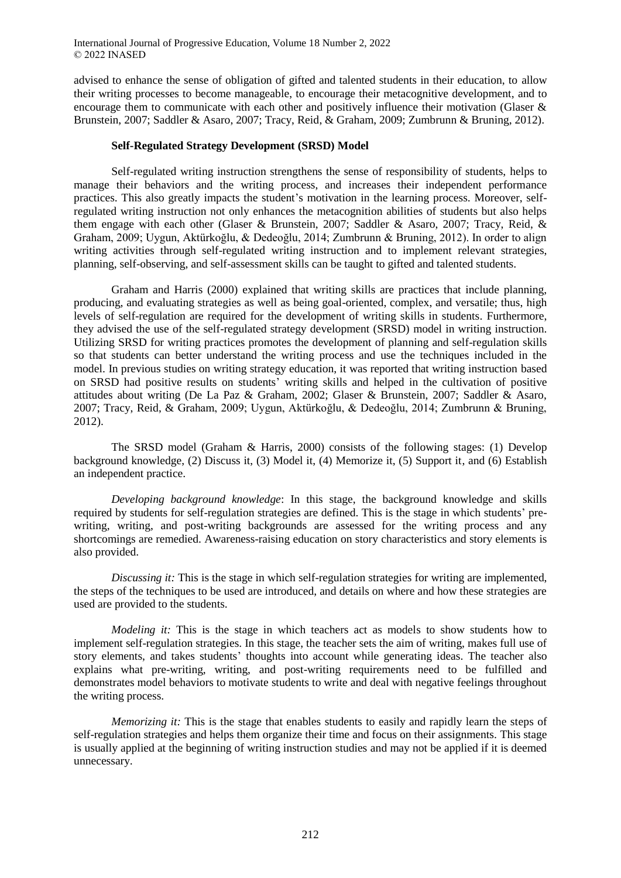advised to enhance the sense of obligation of gifted and talented students in their education, to allow their writing processes to become manageable, to encourage their metacognitive development, and to encourage them to communicate with each other and positively influence their motivation (Glaser & Brunstein, 2007; Saddler & Asaro, 2007; Tracy, Reid, & Graham, 2009; Zumbrunn & Bruning, 2012).

### **Self-Regulated Strategy Development (SRSD) Model**

Self-regulated writing instruction strengthens the sense of responsibility of students, helps to manage their behaviors and the writing process, and increases their independent performance practices. This also greatly impacts the student's motivation in the learning process. Moreover, selfregulated writing instruction not only enhances the metacognition abilities of students but also helps them engage with each other (Glaser & Brunstein, 2007; Saddler & Asaro, 2007; Tracy, Reid, & Graham, 2009; Uygun, Aktürkoğlu, & Dedeoğlu, 2014; Zumbrunn & Bruning, 2012). In order to align writing activities through self-regulated writing instruction and to implement relevant strategies, planning, self-observing, and self-assessment skills can be taught to gifted and talented students.

Graham and Harris (2000) explained that writing skills are practices that include planning, producing, and evaluating strategies as well as being goal-oriented, complex, and versatile; thus, high levels of self-regulation are required for the development of writing skills in students. Furthermore, they advised the use of the self-regulated strategy development (SRSD) model in writing instruction. Utilizing SRSD for writing practices promotes the development of planning and self-regulation skills so that students can better understand the writing process and use the techniques included in the model. In previous studies on writing strategy education, it was reported that writing instruction based on SRSD had positive results on students' writing skills and helped in the cultivation of positive attitudes about writing (De La Paz & Graham, 2002; Glaser & Brunstein, 2007; Saddler & Asaro, 2007; Tracy, Reid, & Graham, 2009; Uygun, Aktürkoğlu, & Dedeoğlu, 2014; Zumbrunn & Bruning, 2012).

The SRSD model (Graham & Harris, 2000) consists of the following stages: (1) Develop background knowledge, (2) Discuss it, (3) Model it, (4) Memorize it, (5) Support it, and (6) Establish an independent practice.

*Developing background knowledge*: In this stage, the background knowledge and skills required by students for self-regulation strategies are defined. This is the stage in which students' prewriting, writing, and post-writing backgrounds are assessed for the writing process and any shortcomings are remedied. Awareness-raising education on story characteristics and story elements is also provided.

*Discussing it:* This is the stage in which self-regulation strategies for writing are implemented, the steps of the techniques to be used are introduced, and details on where and how these strategies are used are provided to the students.

*Modeling it:* This is the stage in which teachers act as models to show students how to implement self-regulation strategies. In this stage, the teacher sets the aim of writing, makes full use of story elements, and takes students' thoughts into account while generating ideas. The teacher also explains what pre-writing, writing, and post-writing requirements need to be fulfilled and demonstrates model behaviors to motivate students to write and deal with negative feelings throughout the writing process.

*Memorizing it:* This is the stage that enables students to easily and rapidly learn the steps of self-regulation strategies and helps them organize their time and focus on their assignments. This stage is usually applied at the beginning of writing instruction studies and may not be applied if it is deemed unnecessary.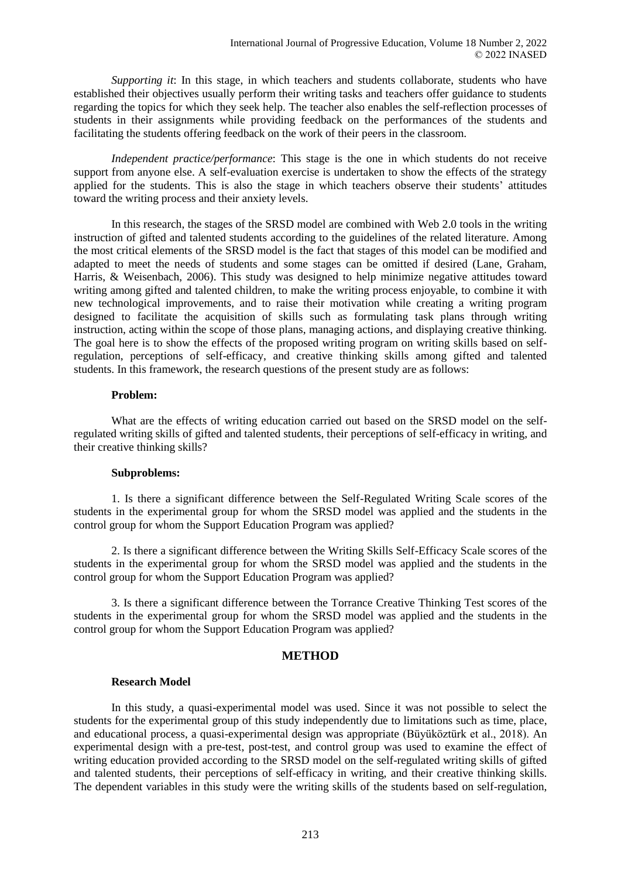*Supporting it*: In this stage, in which teachers and students collaborate, students who have established their objectives usually perform their writing tasks and teachers offer guidance to students regarding the topics for which they seek help. The teacher also enables the self-reflection processes of students in their assignments while providing feedback on the performances of the students and facilitating the students offering feedback on the work of their peers in the classroom.

*Independent practice/performance*: This stage is the one in which students do not receive support from anyone else. A self-evaluation exercise is undertaken to show the effects of the strategy applied for the students. This is also the stage in which teachers observe their students' attitudes toward the writing process and their anxiety levels.

In this research, the stages of the SRSD model are combined with Web 2.0 tools in the writing instruction of gifted and talented students according to the guidelines of the related literature. Among the most critical elements of the SRSD model is the fact that stages of this model can be modified and adapted to meet the needs of students and some stages can be omitted if desired (Lane, Graham, Harris, & Weisenbach, 2006). This study was designed to help minimize negative attitudes toward writing among gifted and talented children, to make the writing process enjoyable, to combine it with new technological improvements, and to raise their motivation while creating a writing program designed to facilitate the acquisition of skills such as formulating task plans through writing instruction, acting within the scope of those plans, managing actions, and displaying creative thinking. The goal here is to show the effects of the proposed writing program on writing skills based on selfregulation, perceptions of self-efficacy, and creative thinking skills among gifted and talented students. In this framework, the research questions of the present study are as follows:

### **Problem:**

What are the effects of writing education carried out based on the SRSD model on the selfregulated writing skills of gifted and talented students, their perceptions of self-efficacy in writing, and their creative thinking skills?

### **Subproblems:**

1. Is there a significant difference between the Self-Regulated Writing Scale scores of the students in the experimental group for whom the SRSD model was applied and the students in the control group for whom the Support Education Program was applied?

2. Is there a significant difference between the Writing Skills Self-Efficacy Scale scores of the students in the experimental group for whom the SRSD model was applied and the students in the control group for whom the Support Education Program was applied?

3. Is there a significant difference between the Torrance Creative Thinking Test scores of the students in the experimental group for whom the SRSD model was applied and the students in the control group for whom the Support Education Program was applied?

### **METHOD**

### **Research Model**

In this study, a quasi-experimental model was used. Since it was not possible to select the students for the experimental group of this study independently due to limitations such as time, place, and educational process, a quasi-experimental design was appropriate (Büyüköztürk et al., 2018). An experimental design with a pre-test, post-test, and control group was used to examine the effect of writing education provided according to the SRSD model on the self-regulated writing skills of gifted and talented students, their perceptions of self-efficacy in writing, and their creative thinking skills. The dependent variables in this study were the writing skills of the students based on self-regulation,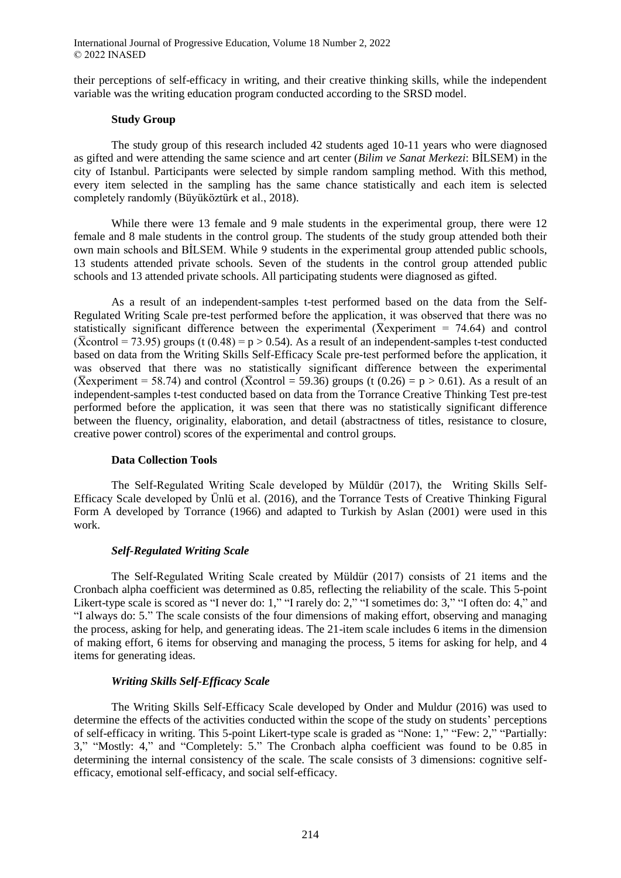their perceptions of self-efficacy in writing, and their creative thinking skills, while the independent variable was the writing education program conducted according to the SRSD model.

### **Study Group**

The study group of this research included 42 students aged 10-11 years who were diagnosed as gifted and were attending the same science and art center (*Bilim ve Sanat Merkezi*: BİLSEM) in the city of Istanbul. Participants were selected by simple random sampling method. With this method, every item selected in the sampling has the same chance statistically and each item is selected completely randomly (Büyüköztürk et al., 2018).

While there were 13 female and 9 male students in the experimental group, there were 12 female and 8 male students in the control group. The students of the study group attended both their own main schools and BİLSEM. While 9 students in the experimental group attended public schools, 13 students attended private schools. Seven of the students in the control group attended public schools and 13 attended private schools. All participating students were diagnosed as gifted.

As a result of an independent-samples t-test performed based on the data from the Self-Regulated Writing Scale pre-test performed before the application, it was observed that there was no statistically significant difference between the experimental ( $\bar{X}$ experiment = 74.64) and control  $({\overline{X}}$ control = 73.95) groups (t (0.48) = p > 0.54). As a result of an independent-samples t-test conducted based on data from the Writing Skills Self-Efficacy Scale pre-test performed before the application, it was observed that there was no statistically significant difference between the experimental ( $\overline{X}$ experiment = 58.74) and control ( $\overline{X}$ control = 59.36) groups (t (0.26) = p > 0.61). As a result of an independent-samples t-test conducted based on data from the Torrance Creative Thinking Test pre-test performed before the application, it was seen that there was no statistically significant difference between the fluency, originality, elaboration, and detail (abstractness of titles, resistance to closure, creative power control) scores of the experimental and control groups.

### **Data Collection Tools**

The Self-Regulated Writing Scale developed by Müldür (2017), the Writing Skills Self-Efficacy Scale developed by Ünlü et al. (2016), and the Torrance Tests of Creative Thinking Figural Form A developed by Torrance (1966) and adapted to Turkish by Aslan (2001) were used in this work.

### *Self-Regulated Writing Scale*

The Self-Regulated Writing Scale created by Müldür (2017) consists of 21 items and the Cronbach alpha coefficient was determined as 0.85, reflecting the reliability of the scale. This 5-point Likert-type scale is scored as "I never do: 1," "I rarely do: 2," "I sometimes do: 3," "I often do: 4," and "I always do: 5." The scale consists of the four dimensions of making effort, observing and managing the process, asking for help, and generating ideas. The 21-item scale includes 6 items in the dimension of making effort, 6 items for observing and managing the process, 5 items for asking for help, and 4 items for generating ideas.

### *Writing Skills Self-Efficacy Scale*

The Writing Skills Self-Efficacy Scale developed by Onder and Muldur (2016) was used to determine the effects of the activities conducted within the scope of the study on students' perceptions of self-efficacy in writing. This 5-point Likert-type scale is graded as "None: 1," "Few: 2," "Partially: 3," "Mostly: 4," and "Completely: 5." The Cronbach alpha coefficient was found to be 0.85 in determining the internal consistency of the scale. The scale consists of 3 dimensions: cognitive selfefficacy, emotional self-efficacy, and social self-efficacy.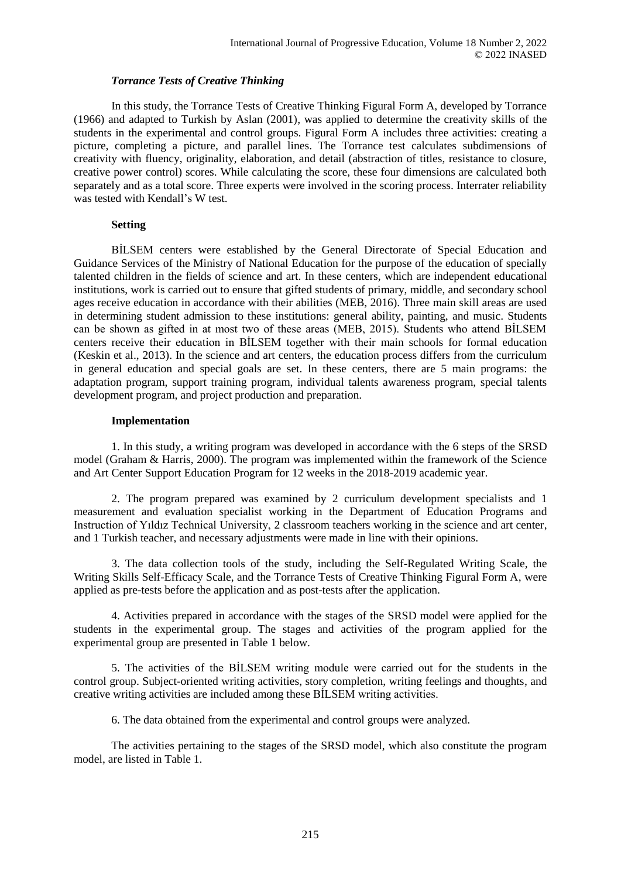### *Torrance Tests of Creative Thinking*

In this study, the Torrance Tests of Creative Thinking Figural Form A, developed by Torrance (1966) and adapted to Turkish by Aslan (2001), was applied to determine the creativity skills of the students in the experimental and control groups. Figural Form A includes three activities: creating a picture, completing a picture, and parallel lines. The Torrance test calculates subdimensions of creativity with fluency, originality, elaboration, and detail (abstraction of titles, resistance to closure, creative power control) scores. While calculating the score, these four dimensions are calculated both separately and as a total score. Three experts were involved in the scoring process. Interrater reliability was tested with Kendall's W test.

#### **Setting**

BİLSEM centers were established by the General Directorate of Special Education and Guidance Services of the Ministry of National Education for the purpose of the education of specially talented children in the fields of science and art. In these centers, which are independent educational institutions, work is carried out to ensure that gifted students of primary, middle, and secondary school ages receive education in accordance with their abilities (MEB, 2016). Three main skill areas are used in determining student admission to these institutions: general ability, painting, and music. Students can be shown as gifted in at most two of these areas (MEB, 2015). Students who attend BİLSEM centers receive their education in BİLSEM together with their main schools for formal education (Keskin et al., 2013). In the science and art centers, the education process differs from the curriculum in general education and special goals are set. In these centers, there are 5 main programs: the adaptation program, support training program, individual talents awareness program, special talents development program, and project production and preparation.

### **Implementation**

1. In this study, a writing program was developed in accordance with the 6 steps of the SRSD model (Graham & Harris, 2000). The program was implemented within the framework of the Science and Art Center Support Education Program for 12 weeks in the 2018-2019 academic year.

2. The program prepared was examined by 2 curriculum development specialists and 1 measurement and evaluation specialist working in the Department of Education Programs and Instruction of Yıldız Technical University, 2 classroom teachers working in the science and art center, and 1 Turkish teacher, and necessary adjustments were made in line with their opinions.

3. The data collection tools of the study, including the Self-Regulated Writing Scale, the Writing Skills Self-Efficacy Scale, and the Torrance Tests of Creative Thinking Figural Form A, were applied as pre-tests before the application and as post-tests after the application.

4. Activities prepared in accordance with the stages of the SRSD model were applied for the students in the experimental group. The stages and activities of the program applied for the experimental group are presented in Table 1 below.

5. The activities of the BİLSEM writing module were carried out for the students in the control group. Subject-oriented writing activities, story completion, writing feelings and thoughts, and creative writing activities are included among these BİLSEM writing activities.

6. The data obtained from the experimental and control groups were analyzed.

The activities pertaining to the stages of the SRSD model, which also constitute the program model, are listed in Table 1.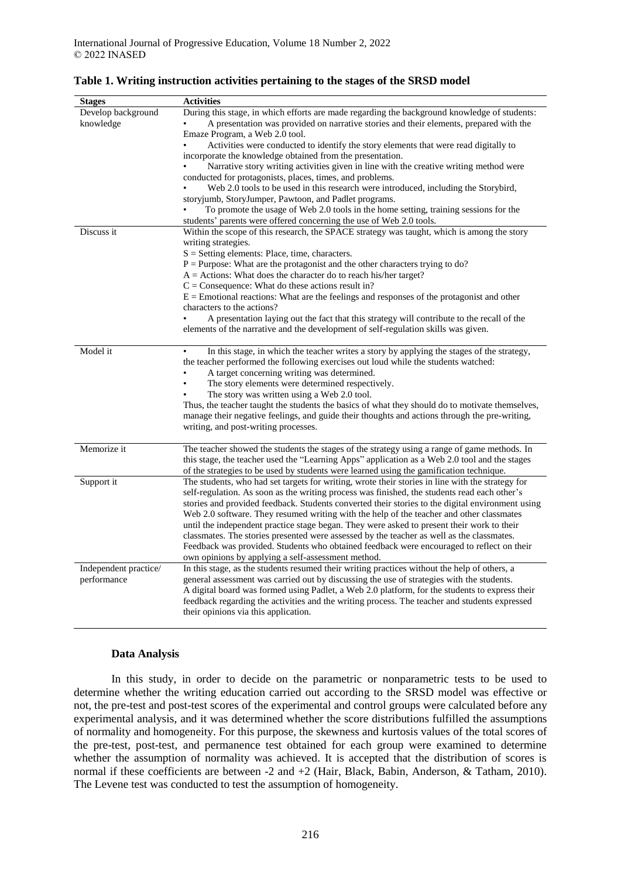| <b>Stages</b>         | <b>Activities</b>                                                                                |
|-----------------------|--------------------------------------------------------------------------------------------------|
| Develop background    | During this stage, in which efforts are made regarding the background knowledge of students:     |
| knowledge             | A presentation was provided on narrative stories and their elements, prepared with the           |
|                       | Emaze Program, a Web 2.0 tool.                                                                   |
|                       | Activities were conducted to identify the story elements that were read digitally to             |
|                       | incorporate the knowledge obtained from the presentation.                                        |
|                       | Narrative story writing activities given in line with the creative writing method were           |
|                       | conducted for protagonists, places, times, and problems.                                         |
|                       | Web 2.0 tools to be used in this research were introduced, including the Storybird,              |
|                       | storyjumb, StoryJumper, Pawtoon, and Padlet programs.                                            |
|                       | To promote the usage of Web 2.0 tools in the home setting, training sessions for the             |
|                       | students' parents were offered concerning the use of Web 2.0 tools.                              |
| Discuss it            | Within the scope of this research, the SPACE strategy was taught, which is among the story       |
|                       | writing strategies.                                                                              |
|                       | $S =$ Setting elements: Place, time, characters.                                                 |
|                       | $P =$ Purpose: What are the protagonist and the other characters trying to do?                   |
|                       | $A =$ Actions: What does the character do to reach his/her target?                               |
|                       | $C =$ Consequence: What do these actions result in?                                              |
|                       | $E =$ Emotional reactions: What are the feelings and responses of the protagonist and other      |
|                       | characters to the actions?                                                                       |
|                       | A presentation laying out the fact that this strategy will contribute to the recall of the       |
|                       | elements of the narrative and the development of self-regulation skills was given.               |
|                       |                                                                                                  |
| Model it              | In this stage, in which the teacher writes a story by applying the stages of the strategy,       |
|                       | the teacher performed the following exercises out loud while the students watched:               |
|                       | A target concerning writing was determined.                                                      |
|                       | The story elements were determined respectively.                                                 |
|                       | The story was written using a Web 2.0 tool.                                                      |
|                       | Thus, the teacher taught the students the basics of what they should do to motivate themselves,  |
|                       | manage their negative feelings, and guide their thoughts and actions through the pre-writing,    |
|                       | writing, and post-writing processes.                                                             |
|                       |                                                                                                  |
| Memorize it           | The teacher showed the students the stages of the strategy using a range of game methods. In     |
|                       | this stage, the teacher used the "Learning Apps" application as a Web 2.0 tool and the stages    |
|                       | of the strategies to be used by students were learned using the gamification technique.          |
| Support it            | The students, who had set targets for writing, wrote their stories in line with the strategy for |
|                       | self-regulation. As soon as the writing process was finished, the students read each other's     |
|                       | stories and provided feedback. Students converted their stories to the digital environment using |
|                       | Web 2.0 software. They resumed writing with the help of the teacher and other classmates         |
|                       | until the independent practice stage began. They were asked to present their work to their       |
|                       | classmates. The stories presented were assessed by the teacher as well as the classmates.        |
|                       | Feedback was provided. Students who obtained feedback were encouraged to reflect on their        |
|                       | own opinions by applying a self-assessment method.                                               |
| Independent practice/ | In this stage, as the students resumed their writing practices without the help of others, a     |
| performance           | general assessment was carried out by discussing the use of strategies with the students.        |
|                       | A digital board was formed using Padlet, a Web 2.0 platform, for the students to express their   |
|                       | feedback regarding the activities and the writing process. The teacher and students expressed    |
|                       | their opinions via this application.                                                             |
|                       |                                                                                                  |

## **Table 1. Writing instruction activities pertaining to the stages of the SRSD model**

#### **Data Analysis**

In this study, in order to decide on the parametric or nonparametric tests to be used to determine whether the writing education carried out according to the SRSD model was effective or not, the pre-test and post-test scores of the experimental and control groups were calculated before any experimental analysis, and it was determined whether the score distributions fulfilled the assumptions of normality and homogeneity. For this purpose, the skewness and kurtosis values of the total scores of the pre-test, post-test, and permanence test obtained for each group were examined to determine whether the assumption of normality was achieved. It is accepted that the distribution of scores is normal if these coefficients are between -2 and +2 (Hair, Black, Babin, Anderson, & Tatham, 2010). The Levene test was conducted to test the assumption of homogeneity.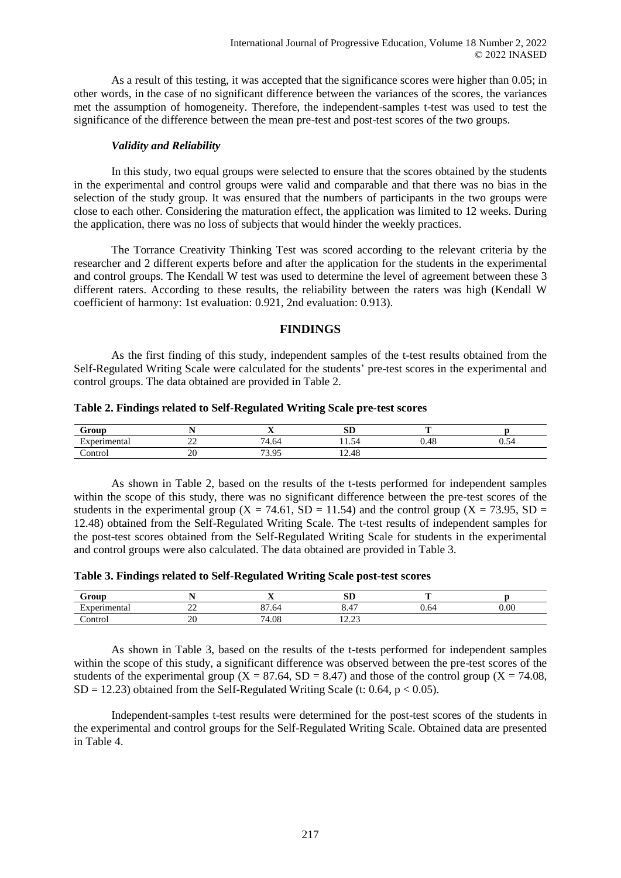As a result of this testing, it was accepted that the significance scores were higher than 0.05; in other words, in the case of no significant difference between the variances of the scores, the variances met the assumption of homogeneity. Therefore, the independent-samples t-test was used to test the significance of the difference between the mean pre-test and post-test scores of the two groups.

#### *Validity and Reliability*

In this study, two equal groups were selected to ensure that the scores obtained by the students in the experimental and control groups were valid and comparable and that there was no bias in the selection of the study group. It was ensured that the numbers of participants in the two groups were close to each other. Considering the maturation effect, the application was limited to 12 weeks. During the application, there was no loss of subjects that would hinder the weekly practices.

The Torrance Creativity Thinking Test was scored according to the relevant criteria by the researcher and 2 different experts before and after the application for the students in the experimental and control groups. The Kendall W test was used to determine the level of agreement between these 3 different raters. According to these results, the reliability between the raters was high (Kendall W coefficient of harmony: 1st evaluation: 0.921, 2nd evaluation: 0.913).

### **FINDINGS**

As the first finding of this study, independent samples of the t-test results obtained from the Self-Regulated Writing Scale were calculated for the students' pre-test scores in the experimental and control groups. The data obtained are provided in Table 2.

|  | Table 2. Findings related to Self-Regulated Writing Scale pre-test scores |  |
|--|---------------------------------------------------------------------------|--|
|  |                                                                           |  |

| $G$ rour                     | -           | $- -$<br>. .            | $\alpha$ <sub>D</sub><br>IJΓ               | m    |                 |
|------------------------------|-------------|-------------------------|--------------------------------------------|------|-----------------|
| vnerumento :<br>$\mathbf{a}$ | $\sim$<br>∸ | 74<br>$+0 +$            | $\overline{\phantom{0}}$<br>n.<br>$\cdots$ | 0.48 | -<br>שנ<br>∪.∪¬ |
| ∠ontrol                      | n0<br>ZU    | $\sqrt{2}$<br>. വ<br>رى | AC<br>14.40                                |      |                 |

As shown in Table 2, based on the results of the t-tests performed for independent samples within the scope of this study, there was no significant difference between the pre-test scores of the students in the experimental group ( $X = 74.61$ ,  $SD = 11.54$ ) and the control group ( $X = 73.95$ ,  $SD = 11.54$ ) 12.48) obtained from the Self-Regulated Writing Scale. The t-test results of independent samples for the post-test scores obtained from the Self-Regulated Writing Scale for students in the experimental and control groups were also calculated. The data obtained are provided in Table 3.

|  |  | Table 3. Findings related to Self-Regulated Writing Scale post-test scores |
|--|--|----------------------------------------------------------------------------|
|  |  |                                                                            |

| Grour            | $\overline{\phantom{0}}$           | $-$<br>-           | $\sim$<br>υL                                | m    |      |
|------------------|------------------------------------|--------------------|---------------------------------------------|------|------|
| ⇁<br>-vnarumanta | $\sim$<br>$\overline{\phantom{a}}$ | n m<br>-<br>$\sim$ | $\overline{1}$<br>v.                        | 0.64 | 0.00 |
| ∠ontrol          | n0<br>ZU                           | 74.08              | $\sim$<br>$\overline{\phantom{a}}$<br>ر ے د |      |      |

As shown in Table 3, based on the results of the t-tests performed for independent samples within the scope of this study, a significant difference was observed between the pre-test scores of the students of the experimental group ( $X = 87.64$ ,  $SD = 8.47$ ) and those of the control group ( $X = 74.08$ ,  $SD = 12.23$ ) obtained from the Self-Regulated Writing Scale (t: 0.64,  $p < 0.05$ ).

Independent-samples t-test results were determined for the post-test scores of the students in the experimental and control groups for the Self-Regulated Writing Scale. Obtained data are presented in Table 4.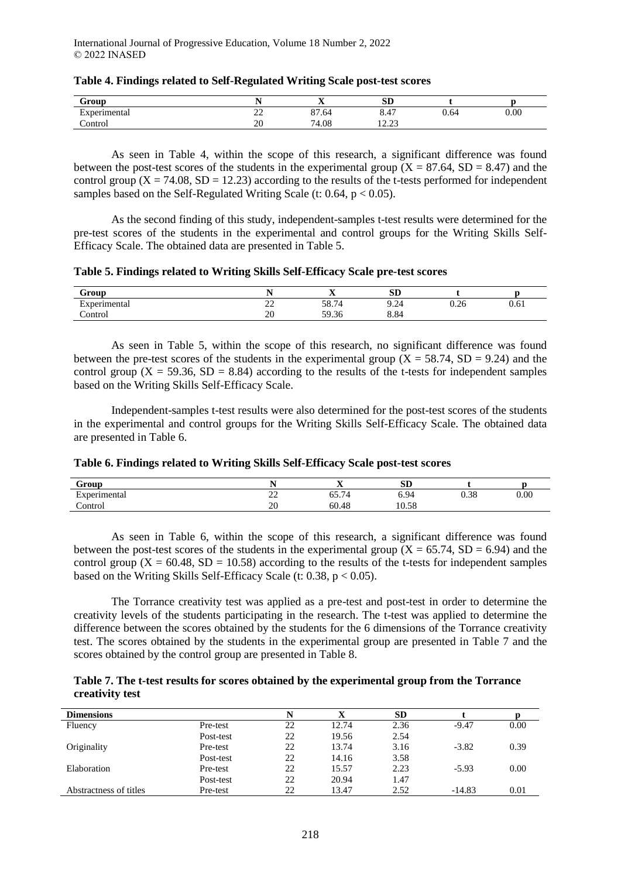| $G$ roup                            |                                    | $-$<br>-48     | oт<br>ЮL                           |      |      |
|-------------------------------------|------------------------------------|----------------|------------------------------------|------|------|
| ∽<br>mente<br>⊀vneri<br>----------- | $\sim$<br>$\overline{\phantom{m}}$ | $\cap$<br>-.04 | $\overline{A}$<br>. .<br>4<br>∪.⊤≀ | 0.64 | 0.00 |
| `ontro∟<br>omuol                    | or<br>ZV                           | 74.08          | $\sim$<br>$\overline{1}$           |      |      |

### **Table 4. Findings related to Self-Regulated Writing Scale post-test scores**

As seen in Table 4, within the scope of this research, a significant difference was found between the post-test scores of the students in the experimental group ( $X = 87.64$ ,  $SD = 8.47$ ) and the control group  $(X = 74.08, SD = 12.23)$  according to the results of the t-tests performed for independent samples based on the Self-Regulated Writing Scale (t:  $0.64$ ,  $p < 0.05$ ).

As the second finding of this study, independent-samples t-test results were determined for the pre-test scores of the students in the experimental and control groups for the Writing Skills Self-Efficacy Scale. The obtained data are presented in Table 5.

**Table 5. Findings related to Writing Skills Self-Efficacy Scale pre-test scores** 

| $\sigma$ roup     |              | $-$<br>                         | CD<br>עט             |      |                         |
|-------------------|--------------|---------------------------------|----------------------|------|-------------------------|
| –<br>Experimental | $\sim$<br>-- | . .<br>58.7                     | $2\ell$<br>u<br>−،∠− | 0.26 | $\sim$ $\sim$ 1<br>0.61 |
| Control           | 20           | 50.3.<br>٨r<br><i><u></u></i> o | 8.84                 |      |                         |

As seen in Table 5, within the scope of this research, no significant difference was found between the pre-test scores of the students in the experimental group ( $X = 58.74$ , SD = 9.24) and the control group  $(X = 59.36, SD = 8.84)$  according to the results of the t-tests for independent samples based on the Writing Skills Self-Efficacy Scale.

Independent-samples t-test results were also determined for the post-test scores of the students in the experimental and control groups for the Writing Skills Self-Efficacy Scale. The obtained data are presented in Table 6.

|  |  | Table 6. Findings related to Writing Skills Self-Efficacy Scale post-test scores |  |
|--|--|----------------------------------------------------------------------------------|--|
|--|--|----------------------------------------------------------------------------------|--|

| Group        |             | $-$<br>$\overline{\phantom{a}}$                        | <b>SD</b> |      |      |
|--------------|-------------|--------------------------------------------------------|-----------|------|------|
| Experimental | $\sim$<br>∼ | $\sim$ $\sim$ $\sim$ $\sim$<br>$\overline{4}$<br>0J. / | 6.94      | 0.38 | 0.00 |
| ∠ontrol      | ററ<br>ZU    | 60.48                                                  | 10.58     |      |      |

As seen in Table 6, within the scope of this research, a significant difference was found between the post-test scores of the students in the experimental group ( $X = 65.74$ ,  $SD = 6.94$ ) and the control group  $(X = 60.48, SD = 10.58)$  according to the results of the t-tests for independent samples based on the Writing Skills Self-Efficacy Scale (t:  $0.38$ ,  $p < 0.05$ ).

The Torrance creativity test was applied as a pre-test and post-test in order to determine the creativity levels of the students participating in the research. The t-test was applied to determine the difference between the scores obtained by the students for the 6 dimensions of the Torrance creativity test. The scores obtained by the students in the experimental group are presented in Table 7 and the scores obtained by the control group are presented in Table 8.

**Table 7. The t-test results for scores obtained by the experimental group from the Torrance creativity test**

| <b>Dimensions</b>      |           |    | △     | <b>SD</b> |          |      |
|------------------------|-----------|----|-------|-----------|----------|------|
| Fluency                | Pre-test  | 22 | 12.74 | 2.36      | $-9.47$  | 0.00 |
|                        | Post-test | 22 | 19.56 | 2.54      |          |      |
| Originality            | Pre-test  | 22 | 13.74 | 3.16      | $-3.82$  | 0.39 |
|                        | Post-test | 22 | 14.16 | 3.58      |          |      |
| Elaboration            | Pre-test  | 22 | 15.57 | 2.23      | $-5.93$  | 0.00 |
|                        | Post-test | 22 | 20.94 | 1.47      |          |      |
| Abstractness of titles | Pre-test  | 22 | 13.47 | 2.52      | $-14.83$ | 0.01 |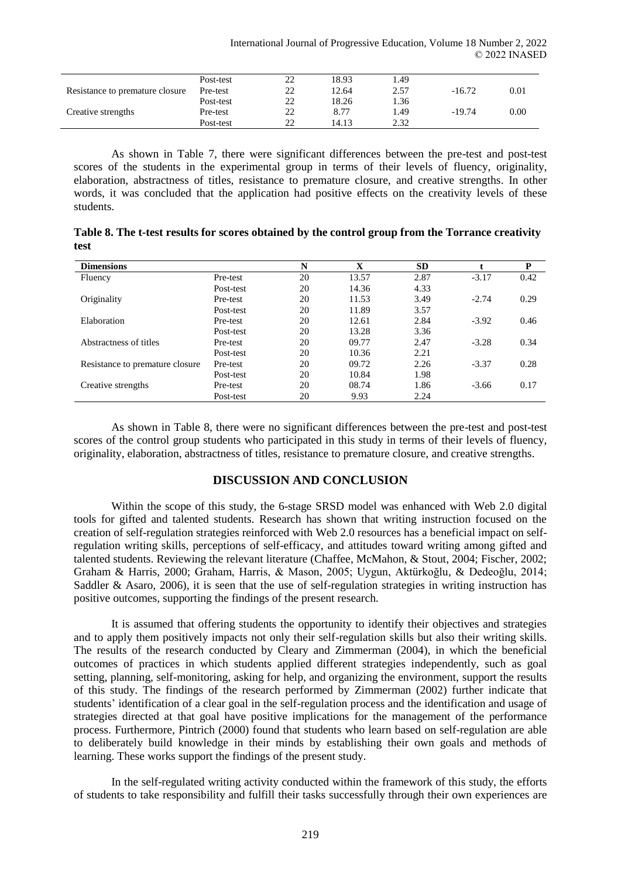|                                 | Post-test | 22 | 18.93 | . 49 |          |      |
|---------------------------------|-----------|----|-------|------|----------|------|
| Resistance to premature closure | Pre-test  | 22 | 12.64 | 2.57 | $-16.72$ | 0.01 |
|                                 | Post-test | 22 | 18.26 | 1.36 |          |      |
| Creative strengths              | Pre-test  | 22 | 8.77  | 1.49 | $-19.74$ | 0.00 |
|                                 | Post-test | 22 | 14.13 | 2.32 |          |      |

As shown in Table 7, there were significant differences between the pre-test and post-test scores of the students in the experimental group in terms of their levels of fluency, originality, elaboration, abstractness of titles, resistance to premature closure, and creative strengths. In other words, it was concluded that the application had positive effects on the creativity levels of these students.

**Table 8. The t-test results for scores obtained by the control group from the Torrance creativity test**

| <b>Dimensions</b>               |           | N  | $\mathbf x$ | <b>SD</b> |         | P    |
|---------------------------------|-----------|----|-------------|-----------|---------|------|
| Fluency                         | Pre-test  | 20 | 13.57       | 2.87      | $-3.17$ | 0.42 |
|                                 | Post-test | 20 | 14.36       | 4.33      |         |      |
| Originality                     | Pre-test  | 20 | 11.53       | 3.49      | $-2.74$ | 0.29 |
|                                 | Post-test | 20 | 11.89       | 3.57      |         |      |
| Elaboration                     | Pre-test  | 20 | 12.61       | 2.84      | $-3.92$ | 0.46 |
|                                 | Post-test | 20 | 13.28       | 3.36      |         |      |
| Abstractness of titles          | Pre-test  | 20 | 09.77       | 2.47      | $-3.28$ | 0.34 |
|                                 | Post-test | 20 | 10.36       | 2.21      |         |      |
| Resistance to premature closure | Pre-test  | 20 | 09.72       | 2.26      | $-3.37$ | 0.28 |
|                                 | Post-test | 20 | 10.84       | 1.98      |         |      |
| Creative strengths              | Pre-test  | 20 | 08.74       | 1.86      | $-3.66$ | 0.17 |
|                                 | Post-test | 20 | 9.93        | 2.24      |         |      |

As shown in Table 8, there were no significant differences between the pre-test and post-test scores of the control group students who participated in this study in terms of their levels of fluency, originality, elaboration, abstractness of titles, resistance to premature closure, and creative strengths.

### **DISCUSSION AND CONCLUSION**

Within the scope of this study, the 6-stage SRSD model was enhanced with Web 2.0 digital tools for gifted and talented students. Research has shown that writing instruction focused on the creation of self-regulation strategies reinforced with Web 2.0 resources has a beneficial impact on selfregulation writing skills, perceptions of self-efficacy, and attitudes toward writing among gifted and talented students. Reviewing the relevant literature (Chaffee, McMahon, & Stout, 2004; Fischer, 2002; Graham & Harris, 2000; Graham, Harris, & Mason, 2005; Uygun, Aktürkoğlu, & Dedeoğlu, 2014; Saddler & Asaro, 2006), it is seen that the use of self-regulation strategies in writing instruction has positive outcomes, supporting the findings of the present research.

It is assumed that offering students the opportunity to identify their objectives and strategies and to apply them positively impacts not only their self-regulation skills but also their writing skills. The results of the research conducted by Cleary and Zimmerman (2004), in which the beneficial outcomes of practices in which students applied different strategies independently, such as goal setting, planning, self-monitoring, asking for help, and organizing the environment, support the results of this study. The findings of the research performed by Zimmerman (2002) further indicate that students' identification of a clear goal in the self-regulation process and the identification and usage of strategies directed at that goal have positive implications for the management of the performance process. Furthermore, Pintrich (2000) found that students who learn based on self-regulation are able to deliberately build knowledge in their minds by establishing their own goals and methods of learning. These works support the findings of the present study.

In the self-regulated writing activity conducted within the framework of this study, the efforts of students to take responsibility and fulfill their tasks successfully through their own experiences are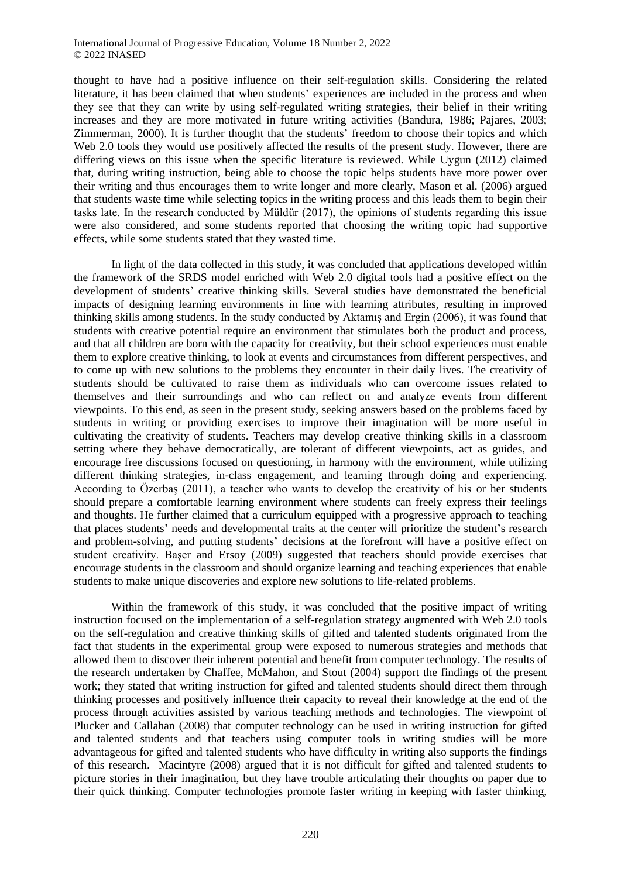thought to have had a positive influence on their self-regulation skills. Considering the related literature, it has been claimed that when students' experiences are included in the process and when they see that they can write by using self-regulated writing strategies, their belief in their writing increases and they are more motivated in future writing activities (Bandura, 1986; Pajares, 2003; Zimmerman, 2000). It is further thought that the students' freedom to choose their topics and which Web 2.0 tools they would use positively affected the results of the present study. However, there are differing views on this issue when the specific literature is reviewed. While Uygun (2012) claimed that, during writing instruction, being able to choose the topic helps students have more power over their writing and thus encourages them to write longer and more clearly, Mason et al. (2006) argued that students waste time while selecting topics in the writing process and this leads them to begin their tasks late. In the research conducted by Müldür (2017), the opinions of students regarding this issue were also considered, and some students reported that choosing the writing topic had supportive effects, while some students stated that they wasted time.

In light of the data collected in this study, it was concluded that applications developed within the framework of the SRDS model enriched with Web 2.0 digital tools had a positive effect on the development of students' creative thinking skills. Several studies have demonstrated the beneficial impacts of designing learning environments in line with learning attributes, resulting in improved thinking skills among students. In the study conducted by Aktamış and Ergin (2006), it was found that students with creative potential require an environment that stimulates both the product and process, and that all children are born with the capacity for creativity, but their school experiences must enable them to explore creative thinking, to look at events and circumstances from different perspectives, and to come up with new solutions to the problems they encounter in their daily lives. The creativity of students should be cultivated to raise them as individuals who can overcome issues related to themselves and their surroundings and who can reflect on and analyze events from different viewpoints. To this end, as seen in the present study, seeking answers based on the problems faced by students in writing or providing exercises to improve their imagination will be more useful in cultivating the creativity of students. Teachers may develop creative thinking skills in a classroom setting where they behave democratically, are tolerant of different viewpoints, act as guides, and encourage free discussions focused on questioning, in harmony with the environment, while utilizing different thinking strategies, in-class engagement, and learning through doing and experiencing. According to Özerbaş (2011), a teacher who wants to develop the creativity of his or her students should prepare a comfortable learning environment where students can freely express their feelings and thoughts. He further claimed that a curriculum equipped with a progressive approach to teaching that places students' needs and developmental traits at the center will prioritize the student's research and problem-solving, and putting students' decisions at the forefront will have a positive effect on student creativity. Başer and Ersoy (2009) suggested that teachers should provide exercises that encourage students in the classroom and should organize learning and teaching experiences that enable students to make unique discoveries and explore new solutions to life-related problems.

Within the framework of this study, it was concluded that the positive impact of writing instruction focused on the implementation of a self-regulation strategy augmented with Web 2.0 tools on the self-regulation and creative thinking skills of gifted and talented students originated from the fact that students in the experimental group were exposed to numerous strategies and methods that allowed them to discover their inherent potential and benefit from computer technology. The results of the research undertaken by Chaffee, McMahon, and Stout (2004) support the findings of the present work; they stated that writing instruction for gifted and talented students should direct them through thinking processes and positively influence their capacity to reveal their knowledge at the end of the process through activities assisted by various teaching methods and technologies. The viewpoint of Plucker and Callahan (2008) that computer technology can be used in writing instruction for gifted and talented students and that teachers using computer tools in writing studies will be more advantageous for gifted and talented students who have difficulty in writing also supports the findings of this research. Macintyre (2008) argued that it is not difficult for gifted and talented students to picture stories in their imagination, but they have trouble articulating their thoughts on paper due to their quick thinking. Computer technologies promote faster writing in keeping with faster thinking,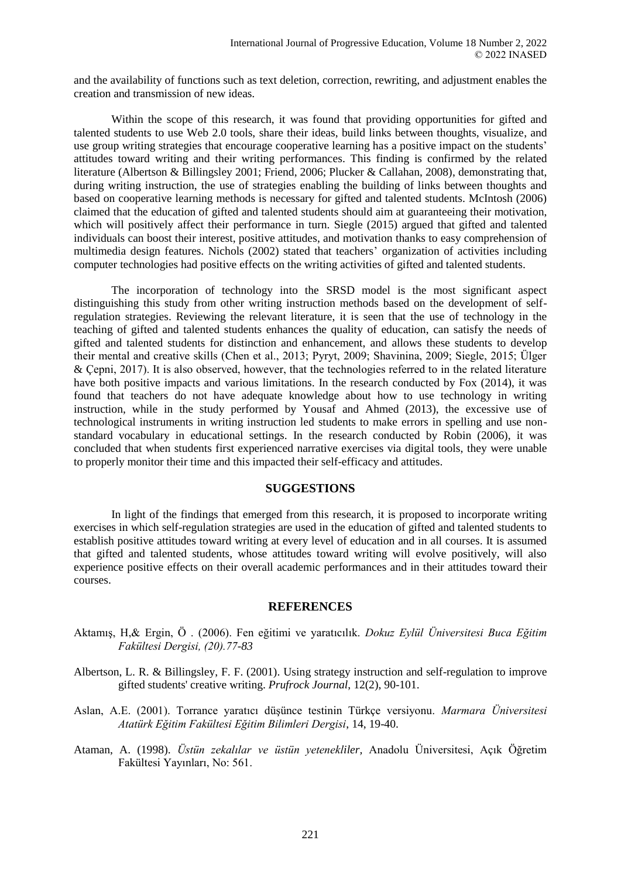and the availability of functions such as text deletion, correction, rewriting, and adjustment enables the creation and transmission of new ideas.

Within the scope of this research, it was found that providing opportunities for gifted and talented students to use Web 2.0 tools, share their ideas, build links between thoughts, visualize, and use group writing strategies that encourage cooperative learning has a positive impact on the students' attitudes toward writing and their writing performances. This finding is confirmed by the related literature (Albertson & Billingsley 2001; Friend, 2006; Plucker & Callahan, 2008), demonstrating that, during writing instruction, the use of strategies enabling the building of links between thoughts and based on cooperative learning methods is necessary for gifted and talented students. McIntosh (2006) claimed that the education of gifted and talented students should aim at guaranteeing their motivation, which will positively affect their performance in turn. Siegle (2015) argued that gifted and talented individuals can boost their interest, positive attitudes, and motivation thanks to easy comprehension of multimedia design features. Nichols (2002) stated that teachers' organization of activities including computer technologies had positive effects on the writing activities of gifted and talented students.

The incorporation of technology into the SRSD model is the most significant aspect distinguishing this study from other writing instruction methods based on the development of selfregulation strategies. Reviewing the relevant literature, it is seen that the use of technology in the teaching of gifted and talented students enhances the quality of education, can satisfy the needs of gifted and talented students for distinction and enhancement, and allows these students to develop their mental and creative skills (Chen et al., 2013; Pyryt, 2009; Shavinina, 2009; Siegle, 2015; Ülger & Çepni, 2017). It is also observed, however, that the technologies referred to in the related literature have both positive impacts and various limitations. In the research conducted by Fox (2014), it was found that teachers do not have adequate knowledge about how to use technology in writing instruction, while in the study performed by Yousaf and Ahmed (2013), the excessive use of technological instruments in writing instruction led students to make errors in spelling and use nonstandard vocabulary in educational settings. In the research conducted by Robin (2006), it was concluded that when students first experienced narrative exercises via digital tools, they were unable to properly monitor their time and this impacted their self-efficacy and attitudes.

## **SUGGESTIONS**

In light of the findings that emerged from this research, it is proposed to incorporate writing exercises in which self-regulation strategies are used in the education of gifted and talented students to establish positive attitudes toward writing at every level of education and in all courses. It is assumed that gifted and talented students, whose attitudes toward writing will evolve positively, will also experience positive effects on their overall academic performances and in their attitudes toward their courses.

#### **REFERENCES**

- Aktamış, H,& Ergin, Ö . (2006). Fen eğitimi ve yaratıcılık. *Dokuz Eylül Üniversitesi Buca Eğitim Fakültesi Dergisi, (20).77-83*
- Albertson, L. R. & Billingsley, F. F. (2001). Using strategy instruction and self-regulation to improve gifted students' creative writing. *Prufrock Journal*, 12(2), 90-101.
- Aslan, A.E. (2001). Torrance yaratıcı düşünce testinin Türkçe versiyonu. *Marmara Üniversitesi Atatürk Eğitim Fakültesi Eğitim Bilimleri Dergisi*, 14, 19-40.
- Ataman, A. (1998). *Üstün zekalılar ve üstün yetenekliler*, Anadolu Üniversitesi, Açık Öğretim Fakültesi Yayınları, No: 561.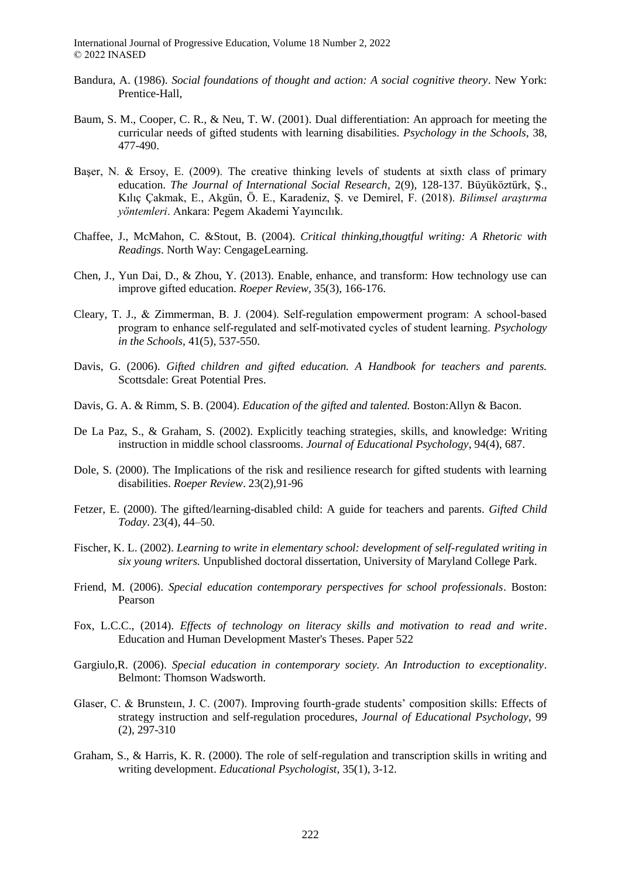- Bandura, A. (1986). *Social foundations of thought and action: A social cognitive theory*. New York: Prentice-Hall,
- Baum, S. M., Cooper, C. R., & Neu, T. W. (2001). Dual differentiation: An approach for meeting the curricular needs of gifted students with learning disabilities. *Psychology in the Schools,* 38, 477-490.
- Başer, N. & Ersoy, E. (2009). The creative thinking levels of students at sixth class of primary education. *The Journal of International Social Research*, 2(9), 128-137. Büyüköztürk, Ş., Kılıç Çakmak, E., Akgün, Ö. E., Karaden z, Ş. ve Dem rel, F. (2018). *Bilimsel araştırma yöntemleri*. Ankara: Pegem Akademi Yayıncılık.
- Chaffee, J., McMahon, C. &Stout, B. (2004). *Critical thinking,thougtful writing: A Rhetoric with Readings*. North Way: CengageLearning.
- Chen, J., Yun Dai, D., & Zhou, Y. (2013). Enable, enhance, and transform: How technology use can improve gifted education. *Roeper Review,* 35(3), 166-176.
- Cleary, T. J., & Zimmerman, B. J. (2004). Self‐regulation empowerment program: A school‐based program to enhance self‐regulated and self‐motivated cycles of student learning. *Psychology in the Schools*, 41(5), 537-550.
- Davis, G. (2006). *Gifted children and gifted education. A Handbook for teachers and parents.*  Scottsdale: Great Potential Pres.
- Davis, G. A. & Rimm, S. B. (2004). *Education of the gifted and talented.* Boston:Allyn & Bacon.
- De La Paz, S., & Graham, S. (2002). Explicitly teaching strategies, skills, and knowledge: Writing instruction in middle school classrooms. *Journal of Educational Psychology*, 94(4), 687.
- Dole, S. (2000). The Implications of the risk and resilience research for gifted students with learning disabilities. *Roeper Review*. 23(2),91-96
- Fetzer, E. (2000). The gifted/learning-disabled child: A guide for teachers and parents. *Gifted Child Today*. 23(4), 44–50.
- Fischer, K. L. (2002). *Learning to write in elementary school: development of self-regulated writing in six young writers.* Unpublished doctoral dissertation, University of Maryland College Park.
- Friend, M. (2006). *Special education contemporary perspectives for school professionals*. Boston: Pearson
- Fox, L.C.C., (2014). *Effects of technology on literacy skills and motivation to read and write*. Education and Human Development Master's Theses. Paper 522
- Gargiulo,R. (2006). *Special education in contemporary society. An Introduction to exceptionality*. Belmont: Thomson Wadsworth.
- Glaser, C. & Brunsteın, J. C. (2007). Improving fourth-grade students' composition skills: Effects of strategy instruction and self-regulation procedures, *Journal of Educational Psychology*, 99 (2), 297-310
- Graham, S., & Harris, K. R. (2000). The role of self-regulation and transcription skills in writing and writing development. *Educational Psychologist*, 35(1), 3-12.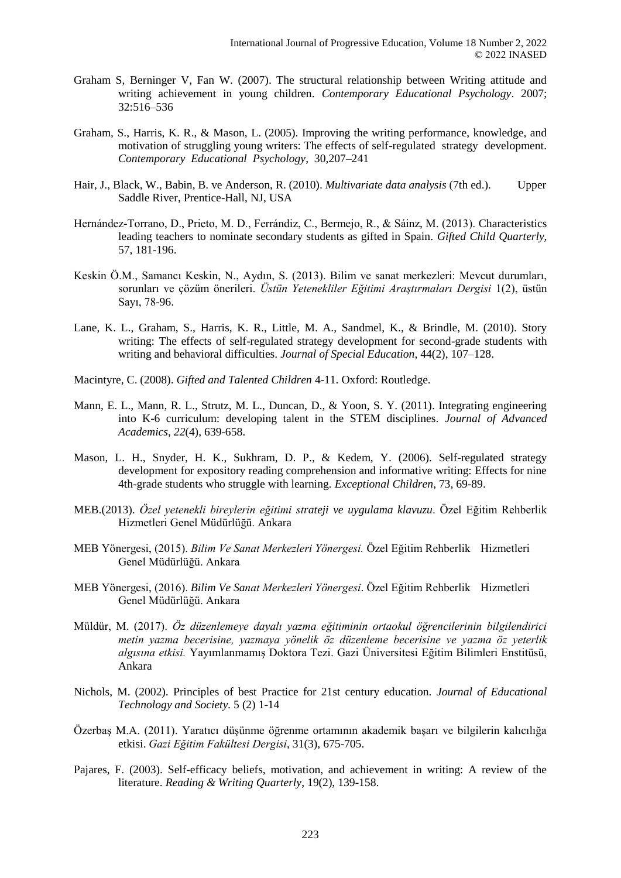- Graham S, Berninger V, Fan W. (2007). The structural relationship between Writing attitude and writing achievement in young children. *Contemporary Educational Psychology*. 2007; 32:516–536
- Graham, S., Harris, K. R., & Mason, L. (2005). Improving the writing performance, knowledge, and motivation of struggling young writers: The effects of self-regulated strategy development. *Contemporary Educational Psychology*, 30,207–241
- Hair, J., Black, W., Babin, B. ve Anderson, R. (2010). *Multivariate data analysis* (7th ed.). Upper Saddle River, Prentice-Hall, NJ, USA
- Hernández-Torrano, D., Prieto, M. D., Ferrándiz, C., Bermejo, R., & Sáinz, M. (2013). Characteristics leading teachers to nominate secondary students as gifted in Spain. *Gifted Child Quarterly,* 57, 181-196.
- Keskin Ö.M., Samancı Keskin, N., Aydın, S. (2013). Bilim ve sanat merkezleri: Mevcut durumları, sorunları ve çözüm önerileri. *Üstün Yetenekliler Eğitimi Araştırmaları Dergisi* 1(2), üstün Sayı, 78-96.
- Lane, K. L., Graham, S., Harris, K. R., Little, M. A., Sandmel, K., & Brindle, M. (2010). Story writing: The effects of self-regulated strategy development for second-grade students with writing and behavioral difficulties. *Journal of Special Education*, 44(2), 107–128.
- Macintyre, C. (2008). *Gifted and Talented Children* 4-11. Oxford: Routledge.
- Mann, E. L., Mann, R. L., Strutz, M. L., Duncan, D., & Yoon, S. Y. (2011). Integrating engineering into K-6 curriculum: developing talent in the STEM disciplines. *Journal of Advanced Academics, 22*(4), 639-658.
- Mason, L. H., Snyder, H. K., Sukhram, D. P., & Kedem, Y. (2006). Self-regulated strategy development for expository reading comprehension and informative writing: Effects for nine 4th-grade students who struggle with learning. *Exceptional Children*, 73, 69-89.
- MEB.(2013). Özel yetenekli bireylerin eğitimi strateji ve uygulama klavuzu. Özel Eğitim Rehberlik Hizmetleri Genel Müdürlüğü. Ankara
- MEB Yönergesi, (2015). *Bilim Ve Sanat Merkezleri Yönergesi.* Özel Eğitim Rehberlik Hizmetleri Genel Müdürlüğü. Ankara
- MEB Yönergesi, (2016). *Bilim Ve Sanat Merkezleri Yönergesi*. Özel Eğitim Rehberlik Hizmetleri Genel Müdürlüğü. Ankara
- Müldür, M. (2017). *Öz düzenlemeye dayalı yazma eğitiminin ortaokul öğrencilerinin bilgilendirici metin yazma becerisine, yazmaya yönelik öz düzenleme becerisine ve yazma öz yeterlik algısına etkisi.* Yayımlanmamış Doktora Tezi. Gazi Üniversitesi Eğitim Bilimleri Enstitüsü, Ankara
- Nichols, M. (2002). Principles of best Practice for 21st century education. *Journal of Educational Technology and Society.* 5 (2) 1-14
- Özerbaş M.A. (2011). Yaratıcı düşünme öğrenme ortamının akademik başarı ve bilgilerin kalıcılığa etkisi. *Gazi Eğitim Fakültesi Dergisi*, 31(3), 675-705.
- Pajares, F. (2003). Self-efficacy beliefs, motivation, and achievement in writing: A review of the literature. *Reading & Writing Quarterly*, 19(2), 139-158.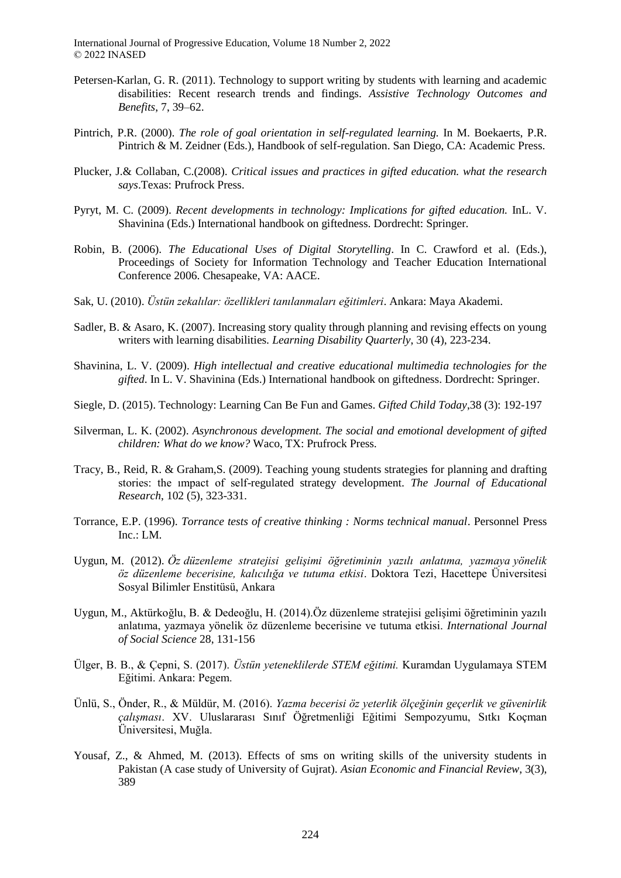- Petersen-Karlan, G. R. (2011). Technology to support writing by students with learning and academic disabilities: Recent research trends and findings. *Assistive Technology Outcomes and Benefits*, 7, 39–62.
- Pintrich, P.R. (2000). *The role of goal orientation in self-regulated learning.* In M. Boekaerts, P.R. Pintrich & M. Zeidner (Eds.), Handbook of self-regulation. San Diego, CA: Academic Press.
- Plucker, J.& Collaban, C.(2008). *Critical issues and practices in gifted education. what the research says*.Texas: Prufrock Press.
- Pyryt, M. C. (2009). *Recent developments in technology: Implications for gifted education.* InL. V. Shavinina (Eds.) International handbook on giftedness. Dordrecht: Springer.
- Robin, B. (2006). *The Educational Uses of Digital Storytelling*. In C. Crawford et al. (Eds.), Proceedings of Society for Information Technology and Teacher Education International Conference 2006. Chesapeake, VA: AACE.
- Sak, U. (2010). Üstün zekalılar: özellikleri tanılanmaları eğitimleri. Ankara: Maya Akademi.
- Sadler, B. & Asaro, K. (2007). Increasing story quality through planning and revising effects on young writers with learning disabilities. *Learning Disability Quarterly*, 30 (4), 223-234.
- Shavinina, L. V. (2009). *High intellectual and creative educational multimedia technologies for the gifted*. In L. V. Shavinina (Eds.) International handbook on giftedness. Dordrecht: Springer.
- Siegle, D. (2015). Technology: Learning Can Be Fun and Games. *Gifted Child Today*,38 (3): 192-197
- Silverman, L. K. (2002). *Asynchronous development. The social and emotional development of gifted children: What do we know?* Waco, TX: Prufrock Press.
- Tracy, B., Reid, R. & Graham,S. (2009). Teaching young students strategies for planning and drafting stories: the ımpact of self-regulated strategy development. *The Journal of Educational Research*, 102 (5), 323-331.
- Torrance, E.P. (1996). *Torrance tests of creative thinking : Norms technical manual*. Personnel Press Inc.: LM.
- Uygun, M. (2012). *Öz düzenleme stratejisi gelişimi öğretiminin yazılı anlatıma, yazmaya yönelik öz düzenleme becerisine, kalıcılığa ve tutuma etkisi*. Doktora Tezi, Hacettepe Üniversitesi Sosyal Bilimler Enstitüsü, Ankara
- Uygun, M., Aktürkoğlu, B. & Dedeoğlu, H. (2014).Öz düzenleme stratejisi gelişimi öğretiminin yazılı anlatıma, yazmaya yönelik öz düzenleme becerisine ve tutuma etkisi. *International Journal of Social Science* 28, 131-156
- Ülger, B. B., & Çepni, S. (2017). *Üstün yeteneklilerde STEM eğitimi.* Kuramdan Uygulamaya STEM Eğitimi. Ankara: Pegem.
- Ünlü, S., Önder, R., & Müldür, M. (2016). *Yazma becerisi öz yeterlik ölçeğinin geçerlik ve güvenirlik*  çalışması. XV. Uluslararası Sınıf Öğretmenliği Eğitimi Sempozyumu, Sıtkı Koçman Üniversitesi, Muğla.
- Yousaf, Z., & Ahmed, M. (2013). Effects of sms on writing skills of the university students in Pakistan (A case study of University of Gujrat). *Asian Economic and Financial Review*, 3(3), 389